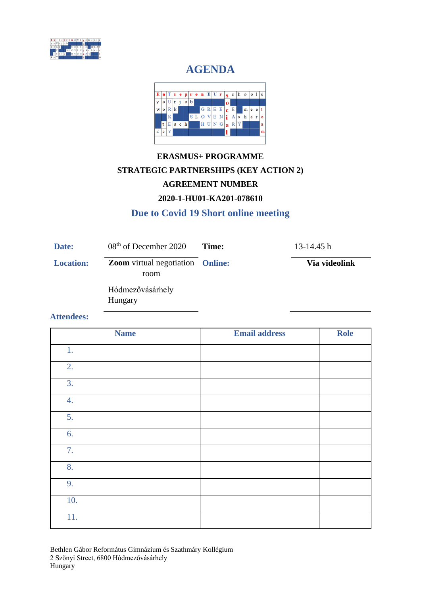

# **AGENDA**



# **ERASMUS+ PROGRAMME STRATEGIC PARTNERSHIPS (KEY ACTION 2) AGREEMENT NUMBER 2020-1-HU01-KA201-078610**

### **Due to Covid 19 Short online meeting**

| Date:            | 08 <sup>th</sup> of December 2020                      | Time: | $13-14.45h$   |
|------------------|--------------------------------------------------------|-------|---------------|
| <b>Location:</b> | <b>Zoom</b> virtual negotiation <b>Online:</b><br>room |       | Via videolink |
|                  | Hódmezővásárhely<br>Hungary                            |       |               |

#### **Attendees:**

| <b>Name</b> | <b>Email address</b> | <b>Role</b> |
|-------------|----------------------|-------------|
| 1.          |                      |             |
| 2.          |                      |             |
| 3.          |                      |             |
| 4.          |                      |             |
| 5.          |                      |             |
| 6.          |                      |             |
| 7.          |                      |             |
| 8.          |                      |             |
| 9.          |                      |             |
| 10.         |                      |             |
| 11.         |                      |             |